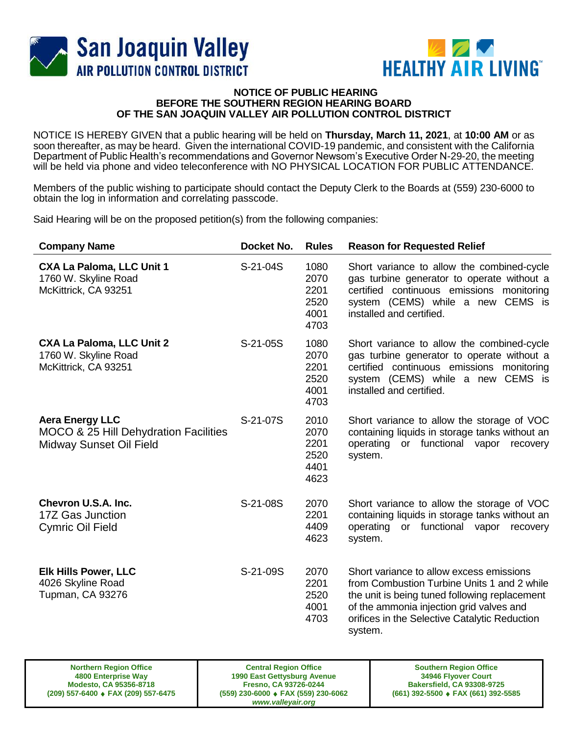



## **NOTICE OF PUBLIC HEARING BEFORE THE SOUTHERN REGION HEARING BOARD OF THE SAN JOAQUIN VALLEY AIR POLLUTION CONTROL DISTRICT**

NOTICE IS HEREBY GIVEN that a public hearing will be held on **Thursday, March 11, 2021**, at **10:00 AM** or as soon thereafter, as may be heard. Given the international COVID-19 pandemic, and consistent with the California Department of Public Health's recommendations and Governor Newsom's Executive Order N-29-20, the meeting will be held via phone and video teleconference with NO PHYSICAL LOCATION FOR PUBLIC ATTENDANCE.

Members of the public wishing to participate should contact the Deputy Clerk to the Boards at (559) 230-6000 to obtain the log in information and correlating passcode.

Said Hearing will be on the proposed petition(s) from the following companies:

| <b>Company Name</b>                                                                        | Docket No. | <b>Rules</b>                                 | <b>Reason for Requested Relief</b>                                                                                                                                                                                                               |
|--------------------------------------------------------------------------------------------|------------|----------------------------------------------|--------------------------------------------------------------------------------------------------------------------------------------------------------------------------------------------------------------------------------------------------|
| <b>CXA La Paloma, LLC Unit 1</b><br>1760 W. Skyline Road<br>McKittrick, CA 93251           | S-21-04S   | 1080<br>2070<br>2201<br>2520<br>4001<br>4703 | Short variance to allow the combined-cycle<br>gas turbine generator to operate without a<br>certified continuous emissions monitoring<br>system (CEMS) while a new CEMS is<br>installed and certified.                                           |
| <b>CXA La Paloma, LLC Unit 2</b><br>1760 W. Skyline Road<br>McKittrick, CA 93251           | S-21-05S   | 1080<br>2070<br>2201<br>2520<br>4001<br>4703 | Short variance to allow the combined-cycle<br>gas turbine generator to operate without a<br>certified continuous emissions monitoring<br>system (CEMS) while a new CEMS is<br>installed and certified.                                           |
| <b>Aera Energy LLC</b><br>MOCO & 25 Hill Dehydration Facilities<br>Midway Sunset Oil Field | S-21-07S   | 2010<br>2070<br>2201<br>2520<br>4401<br>4623 | Short variance to allow the storage of VOC<br>containing liquids in storage tanks without an<br>operating<br>or functional vapor<br>recovery<br>system.                                                                                          |
| Chevron U.S.A. Inc.<br>17Z Gas Junction<br><b>Cymric Oil Field</b>                         | S-21-08S   | 2070<br>2201<br>4409<br>4623                 | Short variance to allow the storage of VOC<br>containing liquids in storage tanks without an<br>operating<br>or functional vapor<br>recovery<br>system.                                                                                          |
| Elk Hills Power, LLC<br>4026 Skyline Road<br><b>Tupman, CA 93276</b>                       | S-21-09S   | 2070<br>2201<br>2520<br>4001<br>4703         | Short variance to allow excess emissions<br>from Combustion Turbine Units 1 and 2 while<br>the unit is being tuned following replacement<br>of the ammonia injection grid valves and<br>orifices in the Selective Catalytic Reduction<br>system. |

**Central Region Office 1990 East Gettysburg Avenue Fresno, CA 93726-0244 (559) 230-6000 FAX (559) 230-6062** *www.valleyair.org*